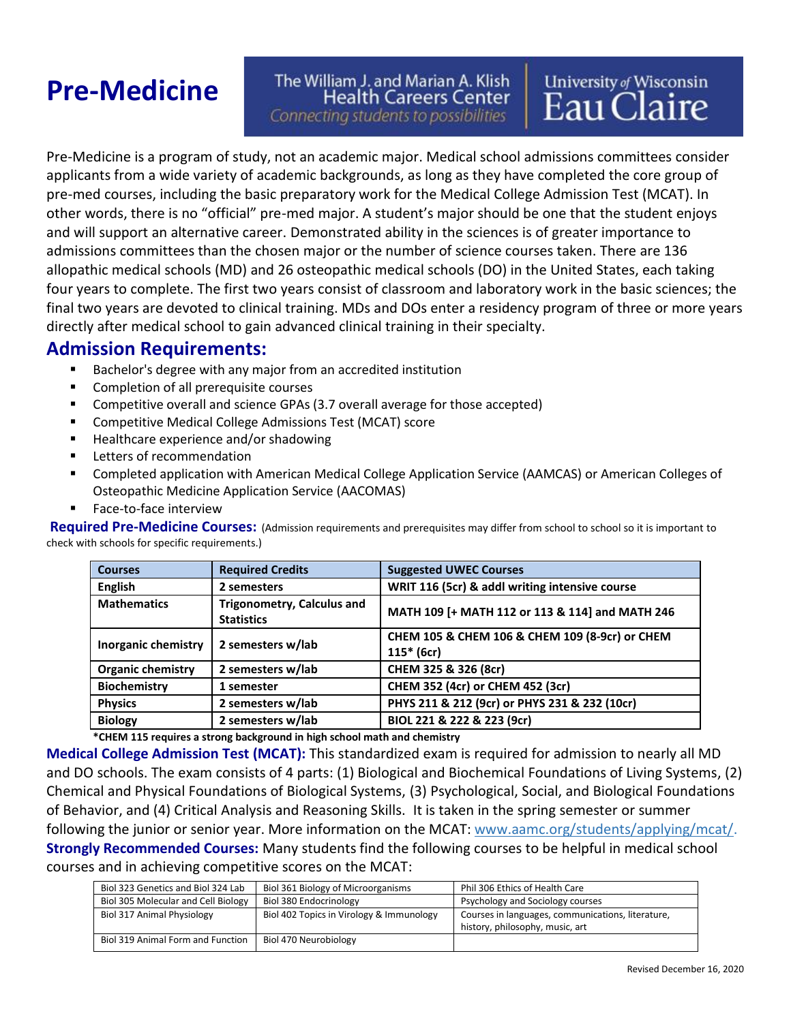# **Pre-Medicine**

#### The William J. and Marian A. Klish **Health Careers Center** Connecting students to possibilities

Pre-Medicine is a program of study, not an academic major. Medical school admissions committees consider applicants from a wide variety of academic backgrounds, as long as they have completed the core group of pre-med courses, including the basic preparatory work for the Medical College Admission Test (MCAT). In other words, there is no "official" pre-med major. A student's major should be one that the student enjoys and will support an alternative career. Demonstrated ability in the sciences is of greater importance to admissions committees than the chosen major or the number of science courses taken. There are 136 allopathic medical schools (MD) and 26 osteopathic medical schools (DO) in the United States, each taking four years to complete. The first two years consist of classroom and laboratory work in the basic sciences; the final two years are devoted to clinical training. MDs and DOs enter a residency program of three or more years directly after medical school to gain advanced clinical training in their specialty.

#### **Admission Requirements:**

- Bachelor's degree with any major from an accredited institution
- Completion of all prerequisite courses
- Competitive overall and science GPAs (3.7 overall average for those accepted)
- Competitive Medical College Admissions Test (MCAT) score
- Healthcare experience and/or shadowing
- Letters of recommendation
- Completed application with American Medical College Application Service (AAMCAS) or American Colleges of Osteopathic Medicine Application Service (AACOMAS)
- Face-to-face interview

**Required Pre-Medicine Courses:** (Admission requirements and prerequisites may differ from school to school so it is important to check with schools for specific requirements.)

| <b>Courses</b>           | <b>Required Credits</b>                                | <b>Suggested UWEC Courses</b>                                  |
|--------------------------|--------------------------------------------------------|----------------------------------------------------------------|
| <b>English</b>           | 2 semesters                                            | WRIT 116 (5cr) & addl writing intensive course                 |
| <b>Mathematics</b>       | <b>Trigonometry, Calculus and</b><br><b>Statistics</b> | MATH 109 [+ MATH 112 or 113 & 114] and MATH 246                |
| Inorganic chemistry      | 2 semesters w/lab                                      | CHEM 105 & CHEM 106 & CHEM 109 (8-9cr) or CHEM<br>$115* (6cr)$ |
| <b>Organic chemistry</b> | 2 semesters w/lab                                      | CHEM 325 & 326 (8cr)                                           |
| <b>Biochemistry</b>      | 1 semester                                             | CHEM 352 (4cr) or CHEM 452 (3cr)                               |
| <b>Physics</b>           | 2 semesters w/lab                                      | PHYS 211 & 212 (9cr) or PHYS 231 & 232 (10cr)                  |
| <b>Biology</b>           | 2 semesters w/lab                                      | BIOL 221 & 222 & 223 (9cr)                                     |

**\*CHEM 115 requires a strong background in high school math and chemistry**

**Medical College Admission Test (MCAT):** This standardized exam is required for admission to nearly all MD and DO schools. The exam consists of 4 parts: (1) Biological and Biochemical Foundations of Living Systems, (2) Chemical and Physical Foundations of Biological Systems, (3) Psychological, Social, and Biological Foundations of Behavior, and (4) Critical Analysis and Reasoning Skills. It is taken in the spring semester or summer following the junior or senior year. More information on the MCAT: [www.aamc.org/students/applying/mcat/.](https://www.aamc.org/students/applying/mcat/) **Strongly Recommended Courses:** Many students find the following courses to be helpful in medical school courses and in achieving competitive scores on the MCAT:

| Biol 323 Genetics and Biol 324 Lab  | Biol 361 Biology of Microorganisms       | Phil 306 Ethics of Health Care                    |
|-------------------------------------|------------------------------------------|---------------------------------------------------|
| Biol 305 Molecular and Cell Biology | Biol 380 Endocrinology                   | Psychology and Sociology courses                  |
| Biol 317 Animal Physiology          | Biol 402 Topics in Virology & Immunology | Courses in languages, communications, literature, |
|                                     |                                          | history, philosophy, music, art                   |
| Biol 319 Animal Form and Function   | Biol 470 Neurobiology                    |                                                   |

University of Wisconsin<br>Eau Claire